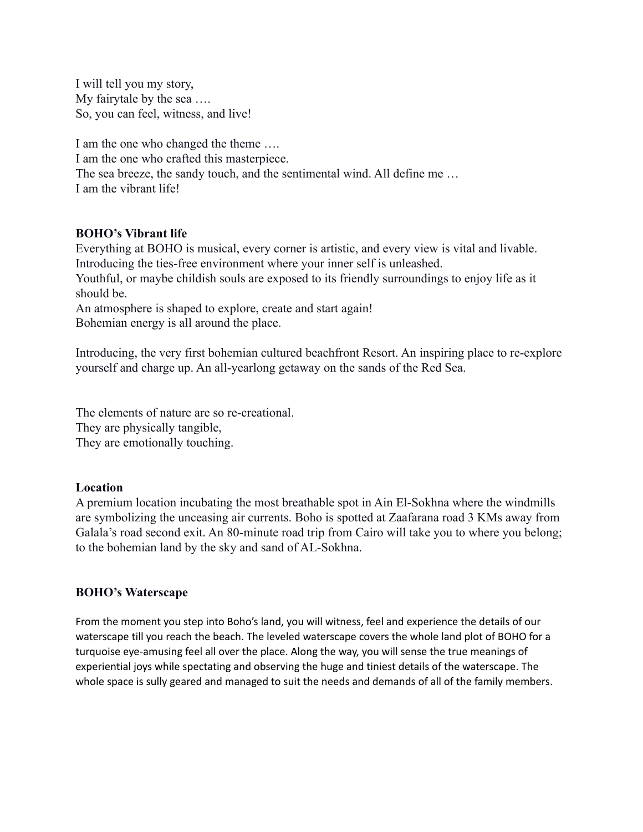I will tell you my story, My fairytale by the sea …. So, you can feel, witness, and live!

I am the one who changed the theme …. I am the one who crafted this masterpiece. The sea breeze, the sandy touch, and the sentimental wind. All define me … I am the vibrant life!

# **BOHO's Vibrant life**

Everything at BOHO is musical, every corner is artistic, and every view is vital and livable. Introducing the ties-free environment where your inner self is unleashed. Youthful, or maybe childish souls are exposed to its friendly surroundings to enjoy life as it

should be.

An atmosphere is shaped to explore, create and start again! Bohemian energy is all around the place.

Introducing, the very first bohemian cultured beachfront Resort. An inspiring place to re-explore yourself and charge up. An all-yearlong getaway on the sands of the Red Sea.

The elements of nature are so re-creational. They are physically tangible, They are emotionally touching.

### **Location**

A premium location incubating the most breathable spot in Ain El-Sokhna where the windmills are symbolizing the unceasing air currents. Boho is spotted at Zaafarana road 3 KMs away from Galala's road second exit. An 80-minute road trip from Cairo will take you to where you belong; to the bohemian land by the sky and sand of AL-Sokhna.

### **BOHO's Waterscape**

From the moment you step into Boho's land, you will witness, feel and experience the details of our waterscape till you reach the beach. The leveled waterscape covers the whole land plot of BOHO for a turquoise eye-amusing feel all over the place. Along the way, you will sense the true meanings of experiential joys while spectating and observing the huge and tiniest details of the waterscape. The whole space is sully geared and managed to suit the needs and demands of all of the family members.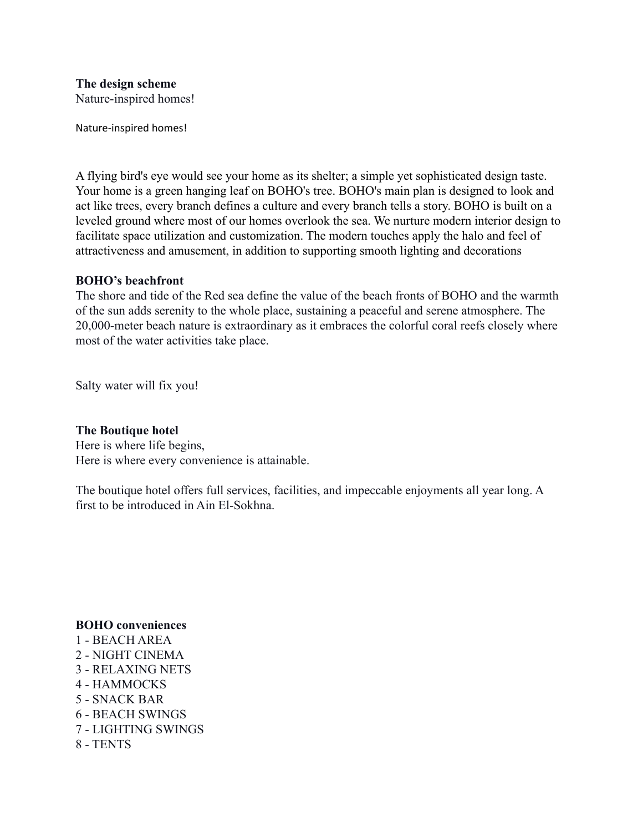**The design scheme** Nature-inspired homes!

Nature-inspired homes!

A flying bird's eye would see your home as its shelter; a simple yet sophisticated design taste. Your home is a green hanging leaf on BOHO's tree. BOHO's main plan is designed to look and act like trees, every branch defines a culture and every branch tells a story. BOHO is built on a leveled ground where most of our homes overlook the sea. We nurture modern interior design to facilitate space utilization and customization. The modern touches apply the halo and feel of attractiveness and amusement, in addition to supporting smooth lighting and decorations

## **BOHO's beachfront**

The shore and tide of the Red sea define the value of the beach fronts of BOHO and the warmth of the sun adds serenity to the whole place, sustaining a peaceful and serene atmosphere. The 20,000-meter beach nature is extraordinary as it embraces the colorful coral reefs closely where most of the water activities take place.

Salty water will fix you!

## **The Boutique hotel**

Here is where life begins, Here is where every convenience is attainable.

The boutique hotel offers full services, facilities, and impeccable enjoyments all year long. A first to be introduced in Ain El-Sokhna.

### **BOHO conveniences**

- 1 BEACH AREA 2 - NIGHT CINEMA 3 - RELAXING NETS 4 - HAMMOCKS 5 - SNACK BAR 6 - BEACH SWINGS
- 7 LIGHTING SWINGS
- 8 TENTS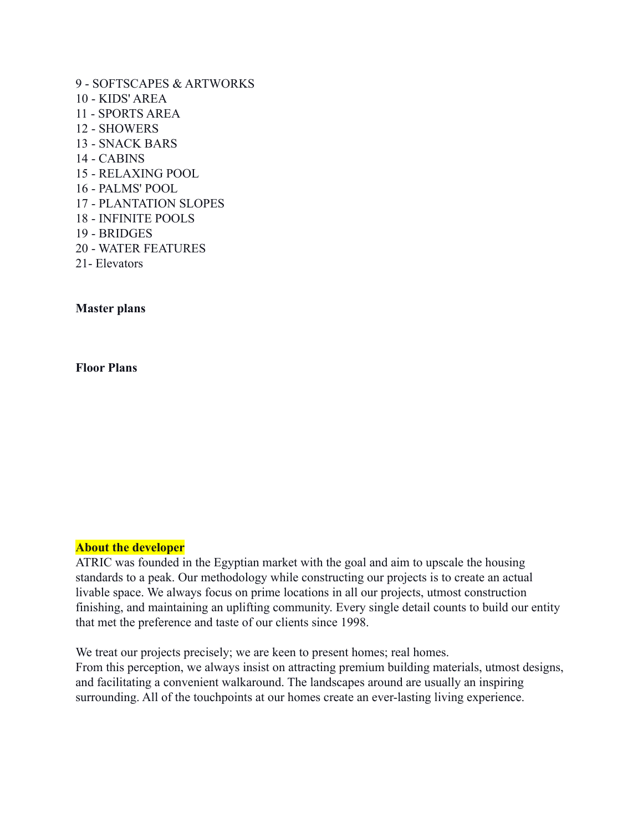9 - SOFTSCAPES & ARTWORKS 10 - KIDS' AREA 11 - SPORTS AREA 12 - SHOWERS 13 - SNACK BARS 14 - CABINS 15 - RELAXING POOL 16 - PALMS' POOL 17 - PLANTATION SLOPES 18 - INFINITE POOLS 19 - BRIDGES 20 - WATER FEATURES 21- Elevators

## **Master plans**

**Floor Plans**

### **About the developer**

ATRIC was founded in the Egyptian market with the goal and aim to upscale the housing standards to a peak. Our methodology while constructing our projects is to create an actual livable space. We always focus on prime locations in all our projects, utmost construction finishing, and maintaining an uplifting community. Every single detail counts to build our entity that met the preference and taste of our clients since 1998.

We treat our projects precisely; we are keen to present homes; real homes. From this perception, we always insist on attracting premium building materials, utmost designs, and facilitating a convenient walkaround. The landscapes around are usually an inspiring surrounding. All of the touchpoints at our homes create an ever-lasting living experience.